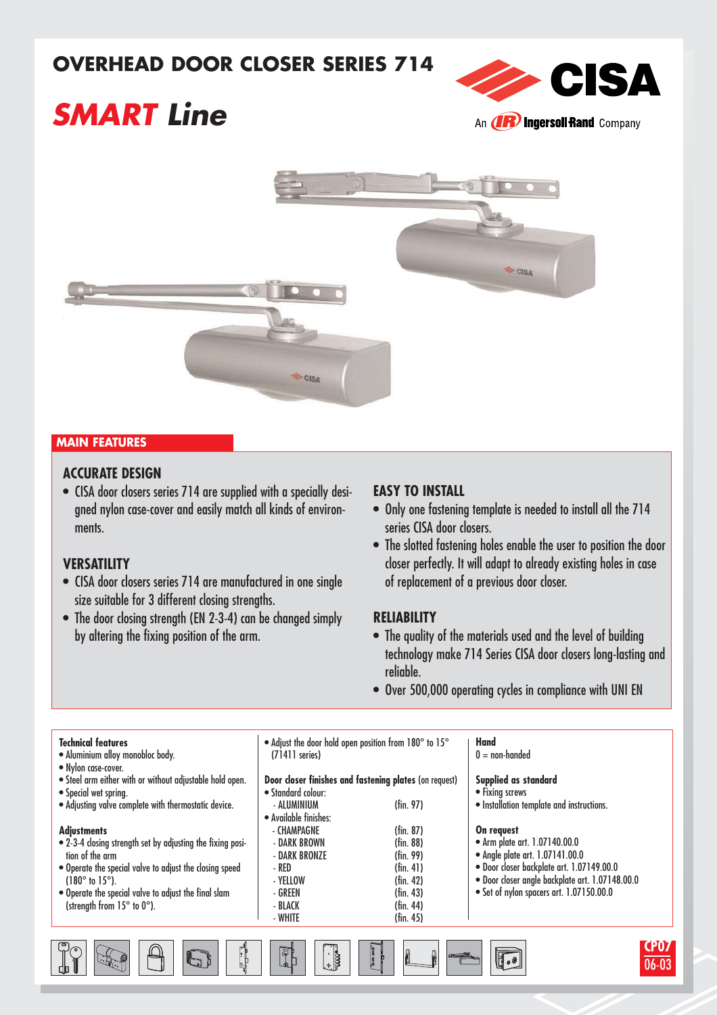## **OVERHEAD DOOR CLOSER SERIES 714**



# **SMART Line**



#### **MAIN FEATURES**

### **ACCURATE DESIGN**

• CISA door closers series 714 are supplied with a specially designed nylon case-cover and easily match all kinds of environments.

#### **VERSATILITY**

 $\frac{1}{2}$   $\frac{1}{2}$   $\frac{1}{2}$   $\frac{1}{2}$ 

- CISA door closers series 714 are manufactured in one single size suitable for 3 different closing strengths.
- The door closing strength (EN 2-3-4) can be changed simply by altering the fixing position of the arm.

#### **EASY TO INSTALL**

- Only one fastening template is needed to install all the 714 series CISA door closers.
- The slotted fastening holes enable the user to position the door closer perfectly. It will adapt to already existing holes in case of replacement of a previous door closer.

#### **RELIABILITY**

- The quality of the materials used and the level of building technology make 714 Series CISA door closers long-lasting and reliable.
- Over 500,000 operating cycles in compliance with UNI EN

| <b>Technical features</b><br>· Aluminium alloy monobloc body.<br>• Nylon case-cover. | • Adjust the door hold open position from 180° to 15°<br>$(71411$ series) |                                                                 | <b>Hand</b><br>$0 = \text{non-handed}$          |  |  |  |
|--------------------------------------------------------------------------------------|---------------------------------------------------------------------------|-----------------------------------------------------------------|-------------------------------------------------|--|--|--|
| . Steel arm either with or without adjustable hold open.                             | Door closer finishes and fastening plates (on request)                    |                                                                 | Supplied as standard                            |  |  |  |
| • Special wet spring.                                                                | • Standard colour:                                                        |                                                                 | • Fixing screws                                 |  |  |  |
| . Adjusting valve complete with thermostatic device.                                 | - ALUMINIUM                                                               | $(\text{fin. } 97)$                                             | · Installation template and instructions.       |  |  |  |
|                                                                                      | • Available finishes:                                                     |                                                                 |                                                 |  |  |  |
| <b>Adjustments</b>                                                                   | - CHAMPAGNE                                                               | $(\text{fin. } 87)$                                             | On request                                      |  |  |  |
| • 2-3-4 closing strength set by adjusting the fixing posi-                           | - DARK BROWN                                                              | $(\text{fin. } 88)$                                             | • Arm plate art. 1.07140.00.0                   |  |  |  |
| tion of the arm                                                                      | - DARK BRONZE                                                             | (fin. 99)                                                       | • Angle plate art. 1.07141.00.0                 |  |  |  |
| • Operate the special valve to adjust the closing speed                              | - RED                                                                     | $(\text{fin. } 41)$                                             | · Door closer backplate art. 1.07149.00.0       |  |  |  |
| $(180^{\circ}$ to $15^{\circ})$ .                                                    | - YELLOW                                                                  | $(\text{fin. } 42)$                                             | · Door closer angle backplate art. 1.07148.00.0 |  |  |  |
| . Operate the special valve to adjust the final slam                                 | - GREEN                                                                   | • Set of nylon spacers art. 1.07150.00.0<br>$(\text{fin. } 43)$ |                                                 |  |  |  |
| (strength from 15° to 0°).                                                           | - BLACK                                                                   | $(\text{fin. } 44)$                                             |                                                 |  |  |  |
|                                                                                      | - WHITE                                                                   | $(\text{fin. } 45)$                                             |                                                 |  |  |  |
|                                                                                      |                                                                           |                                                                 |                                                 |  |  |  |
|                                                                                      | 可                                                                         |                                                                 |                                                 |  |  |  |
| 6                                                                                    | $\left[\cdot, \cdot\right]$                                               | 32900                                                           | $\mathbb{H}_{\bullet}$                          |  |  |  |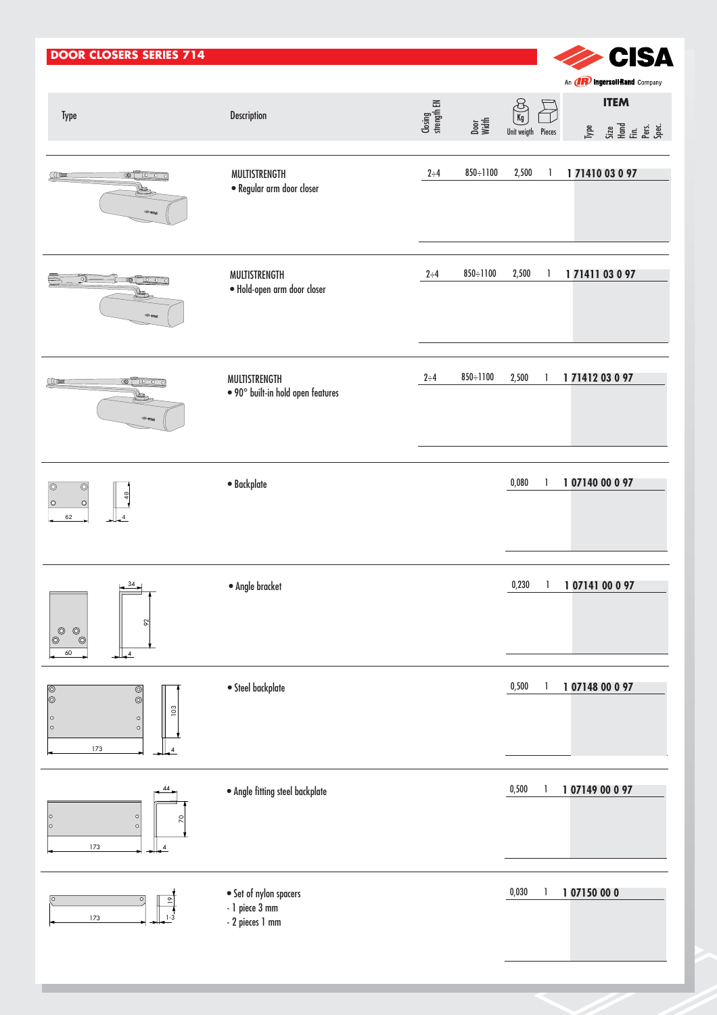| <b>DOOR CLOSERS SERIES 714</b>                                                                                        |                                                             |                        |                 |                                             |   |             | <b>CISA</b>                                                                                                                                                             |
|-----------------------------------------------------------------------------------------------------------------------|-------------------------------------------------------------|------------------------|-----------------|---------------------------------------------|---|-------------|-------------------------------------------------------------------------------------------------------------------------------------------------------------------------|
| Type                                                                                                                  | Description                                                 | Closing<br>strength EN | Door<br>Width   | $\frac{8}{\text{kg}}$<br>Unit weigth Pieces |   |             | An <b>(IR) Ingersoli Rand</b> Company<br><b>ITEM</b><br><b>The State of Second</b><br>State of Secondary<br>Special Secondary<br>Special Secondary<br>Special Secondary |
| $\circ$ 0 0 0 $\circ$<br>COOK                                                                                         | MULTISTRENGTH<br>· Regular arm door closer                  | $2 \div 4$             | $850 \div 1100$ | 2,500                                       | 1 | 17141003097 |                                                                                                                                                                         |
| ി<br>$\circ$ 0 0 0 0<br><b>State</b>                                                                                  | MULTISTRENGTH<br>· Hold-open arm door closer                | $2 \div 4$             | $850 \div 1100$ | 2,500                                       | 1 | 17141103097 |                                                                                                                                                                         |
| $\circ$ 0<br>$\sqrt{2}$                                                                                               | MULTISTRENGTH<br>$\bullet$ 90° built-in hold open features  | $2 \div 4$             | 850÷1100        | 2,500                                       | 1 | 17141203097 |                                                                                                                                                                         |
| $\circledcirc$<br>$\circledcirc$<br>40<br>$\circ$<br>$\circ$<br>62                                                    | · Backplate                                                 |                        |                 | 0,080                                       | 1 | 10714000097 |                                                                                                                                                                         |
| $\frac{34}{1}$<br>E<br>$\boldsymbol{\delta}$<br>$\overline{\mathbb{Q}}$<br>$\circledcirc$<br>0<br>60<br>$\frac{1}{4}$ | · Angle bracket                                             |                        |                 | 0,230                                       | 1 | 10714100097 |                                                                                                                                                                         |
| $\circledcirc$<br>⊚<br>O)<br>103<br>$\circ$<br>$\circ$<br>$\circ$<br>$\circ$<br>173                                   | $\bullet$ Steel backplate                                   |                        |                 | 0,500                                       |   | 10714800097 |                                                                                                                                                                         |
| 44<br>$\circ$<br> ○<br>2<br>$\circ$<br>lo<br>173<br>$\overline{1}$                                                    | $\bullet$ Angle fitting steel backplate                     |                        |                 | 0,500                                       |   | 10714900097 |                                                                                                                                                                         |
| $\circ$<br>173<br>$1 - 3$                                                                                             | • Set of nylon spacers<br>- 1 piece 3 mm<br>- 2 pieces 1 mm |                        |                 | 0,030                                       | 1 | 107150000   |                                                                                                                                                                         |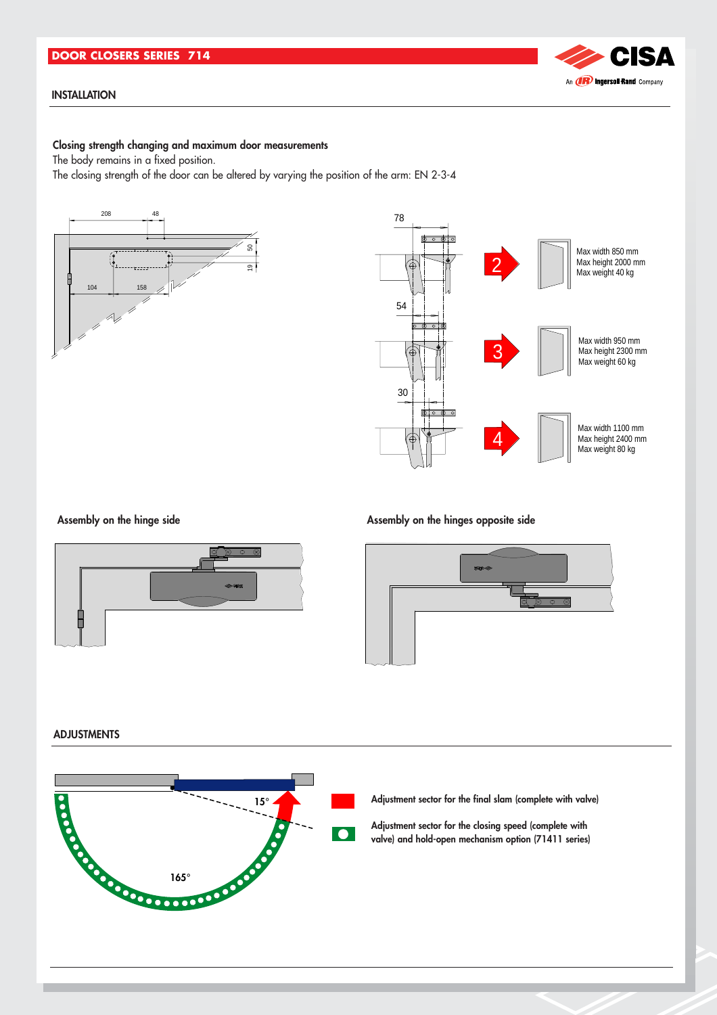#### **DOOR CLOSERS SERIES 714**

#### **INSTALLATION**

#### **Closing strength changing and maximum door measurements**

The body remains in a fixed position.

The closing strength of the door can be altered by varying the position of the arm: EN 2-3-4







Assembly on the hinge side **Assembly on the hinges opposite side** 



#### **ADJUSTMENTS**



**Adjustment sector for the final slam (complete with valve)**

**Adjustment sector for the closing speed (complete with valve) and hold-open mechanism option (71411 series)**